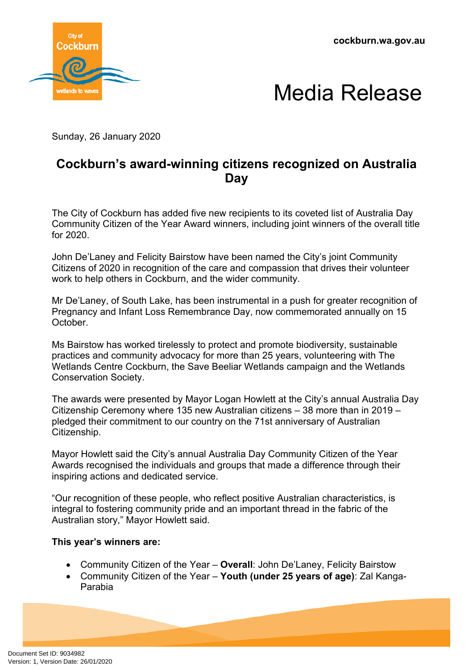**cockburn.wa.gov.au**





Sunday, 26 January 2020

## **Cockburn's award-winning citizens recognized on Australia Day**

The City of Cockburn has added five new recipients to its coveted list of Australia Day Community Citizen of the Year Award winners, including joint winners of the overall title for 2020.

John De'Laney and Felicity Bairstow have been named the City's joint Community Citizens of 2020 in recognition of the care and compassion that drives their volunteer work to help others in Cockburn, and the wider community.

Mr De'Laney, of South Lake, has been instrumental in a push for greater recognition of Pregnancy and Infant Loss Remembrance Day, now commemorated annually on 15 October.

Ms Bairstow has worked tirelessly to protect and promote biodiversity, sustainable practices and community advocacy for more than 25 years, volunteering with The Wetlands Centre Cockburn, the Save Beeliar Wetlands campaign and the Wetlands Conservation Society.

The awards were presented by Mayor Logan Howlett at the City's annual Australia Day Citizenship Ceremony where 135 new Australian citizens – 38 more than in 2019 – pledged their commitment to our country on the 71st anniversary of Australian Citizenship.

Mayor Howlett said the City's annual Australia Day Community Citizen of the Year Awards recognised the individuals and groups that made a difference through their inspiring actions and dedicated service.

"Our recognition of these people, who reflect positive Australian characteristics, is integral to fostering community pride and an important thread in the fabric of the Australian story," Mayor Howlett said.

## **This year's winners are:**

- Community Citizen of the Year **Overall**: John De'Laney, Felicity Bairstow
- Community Citizen of the Year **Youth (under 25 years of age)**: Zal Kanga-Parabia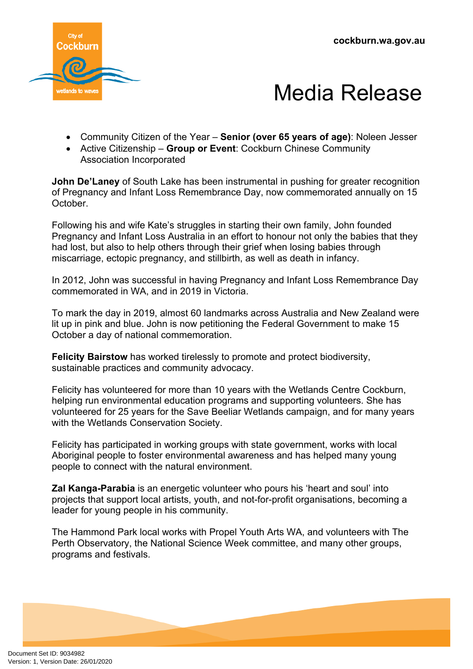**cockburn.wa.gov.au**





- Community Citizen of the Year **Senior (over 65 years of age)**: Noleen Jesser
- Active Citizenship **Group or Event**: Cockburn Chinese Community Association Incorporated

**John De'Laney** of South Lake has been instrumental in pushing for greater recognition of Pregnancy and Infant Loss Remembrance Day, now commemorated annually on 15 October.

Following his and wife Kate's struggles in starting their own family, John founded Pregnancy and Infant Loss Australia in an effort to honour not only the babies that they had lost, but also to help others through their grief when losing babies through miscarriage, ectopic pregnancy, and stillbirth, as well as death in infancy.

In 2012, John was successful in having Pregnancy and Infant Loss Remembrance Day commemorated in WA, and in 2019 in Victoria.

To mark the day in 2019, almost 60 landmarks across Australia and New Zealand were lit up in pink and blue. John is now petitioning the Federal Government to make 15 October a day of national commemoration.

**Felicity Bairstow** has worked tirelessly to promote and protect biodiversity, sustainable practices and community advocacy.

Felicity has volunteered for more than 10 years with the Wetlands Centre Cockburn, helping run environmental education programs and supporting volunteers. She has volunteered for 25 years for the Save Beeliar Wetlands campaign, and for many years with the Wetlands Conservation Society.

Felicity has participated in working groups with state government, works with local Aboriginal people to foster environmental awareness and has helped many young people to connect with the natural environment.

**Zal Kanga-Parabia** is an energetic volunteer who pours his 'heart and soul' into projects that support local artists, youth, and not-for-profit organisations, becoming a leader for young people in his community.

The Hammond Park local works with Propel Youth Arts WA, and volunteers with The Perth Observatory, the National Science Week committee, and many other groups, programs and festivals.